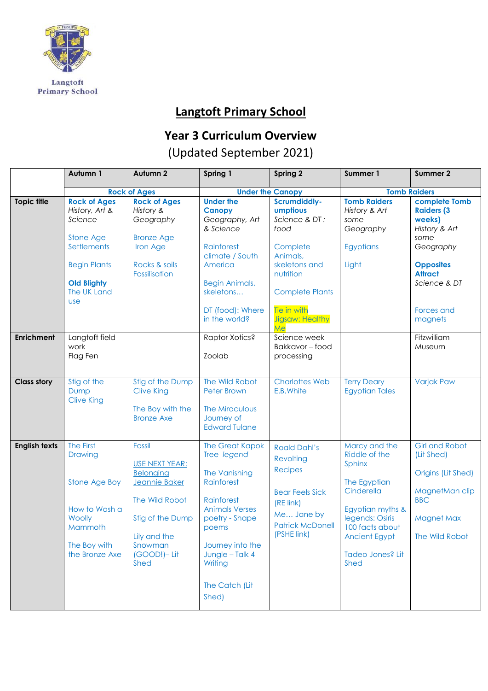

## **Langtoft Primary School**

## **Year 3 Curriculum Overview**

## (Updated September 2021)

|                      | Autumn 1                                                                                                                                               | Autumn 2                                                                                                                                                            | Spring 1                                                                                                                                                                                                            | Spring 2                                                                                                                                                       | Summer 1                                                                                                                                                                      | Summer 2                                                                                                                                                |
|----------------------|--------------------------------------------------------------------------------------------------------------------------------------------------------|---------------------------------------------------------------------------------------------------------------------------------------------------------------------|---------------------------------------------------------------------------------------------------------------------------------------------------------------------------------------------------------------------|----------------------------------------------------------------------------------------------------------------------------------------------------------------|-------------------------------------------------------------------------------------------------------------------------------------------------------------------------------|---------------------------------------------------------------------------------------------------------------------------------------------------------|
|                      |                                                                                                                                                        | <b>Rock of Ages</b>                                                                                                                                                 |                                                                                                                                                                                                                     | <b>Under the Canopy</b>                                                                                                                                        |                                                                                                                                                                               | <b>Tomb Raiders</b>                                                                                                                                     |
| <b>Topic title</b>   | <b>Rock of Ages</b><br>History, Art &<br>Science<br>Stone Age<br>Settlements<br><b>Begin Plants</b><br><b>Old Blighty</b><br>The UK Land<br><b>use</b> | <b>Rock of Ages</b><br>History &<br>Geography<br><b>Bronze Age</b><br>Iron Age<br>Rocks & soils<br>Fossilisation                                                    | <b>Under the</b><br><b>Canopy</b><br>Geography, Art<br>& Science<br>Rainforest<br>climate / South<br>America<br><b>Begin Animals,</b><br>skeletons<br>DT (food): Where                                              | <b>Scrumdiddly-</b><br>umptious<br>Science & DT:<br>food<br>Complete<br>Animals,<br>skeletons and<br>nutrition<br><b>Complete Plants</b><br><b>Tie in with</b> | <b>Tomb Raiders</b><br>History & Art<br>some<br>Geography<br><b>Egyptians</b><br>Light                                                                                        | complete Tomb<br><b>Raiders (3)</b><br>weeks)<br>History & Art<br>some<br>Geography<br><b>Opposites</b><br><b>Attract</b><br>Science & DT<br>Forces and |
|                      |                                                                                                                                                        |                                                                                                                                                                     | in the world?                                                                                                                                                                                                       | <b>Jigsaw: Healthy</b><br>Me                                                                                                                                   |                                                                                                                                                                               | magnets                                                                                                                                                 |
| <b>Enrichment</b>    | Langtoft field<br>work<br>Flag Fen                                                                                                                     |                                                                                                                                                                     | Raptor Xotics?<br>Zoolab                                                                                                                                                                                            | Science week<br>Bakkavor-food<br>processing                                                                                                                    |                                                                                                                                                                               | Fitzwilliam<br>Museum                                                                                                                                   |
| <b>Class story</b>   | Stig of the<br>Dump<br><b>Clive King</b>                                                                                                               | Stig of the Dump<br><b>Clive King</b><br>The Boy with the<br><b>Bronze Axe</b>                                                                                      | The Wild Robot<br><b>Peter Brown</b><br>The Miraculous<br>Journey of<br><b>Edward Tulane</b>                                                                                                                        | <b>Charlottes Web</b><br>E.B. White                                                                                                                            | <b>Terry Deary</b><br><b>Egyptian Tales</b>                                                                                                                                   | <b>Varjak Paw</b>                                                                                                                                       |
| <b>English texts</b> | The First<br><b>Drawing</b><br>Stone Age Boy<br>How to Wash a<br>Woolly<br>Mammoth<br>The Boy with<br>the Bronze Axe                                   | <b>Fossil</b><br><b>USE NEXT YEAR:</b><br><b>Belonging</b><br>Jeannie Baker<br>The Wild Robot<br>Stig of the Dump<br>Lily and the<br>Snowman<br>(GOOD!)-Lit<br>Shed | <b>The Great Kapok</b><br>Tree legend<br>The Vanishing<br>Rainforest<br>Rainforest<br><b>Animals Verses</b><br>poetry - Shape<br>poems<br>Journey into the<br>Jungle - Talk 4<br>Writing<br>The Catch (Lit<br>Shed) | <b>Roald Dahl's</b><br>Revolting<br><b>Recipes</b><br><b>Bear Feels Sick</b><br>(RE link)<br>Me Jane by<br><b>Patrick McDonell</b><br>(PSHE link)              | Marcy and the<br>Riddle of the<br>Sphinx<br>The Egyptian<br>Cinderella<br>Egyptian myths &<br>legends: Osiris<br>100 facts about<br>Ancient Egypt<br>Tadeo Jones? Lit<br>Shed | <b>Girl and Robot</b><br>(Lit Shed)<br>Origins (Lit Shed)<br>MagnetMan clip<br><b>BBC</b><br><b>Magnet Max</b><br>The Wild Robot                        |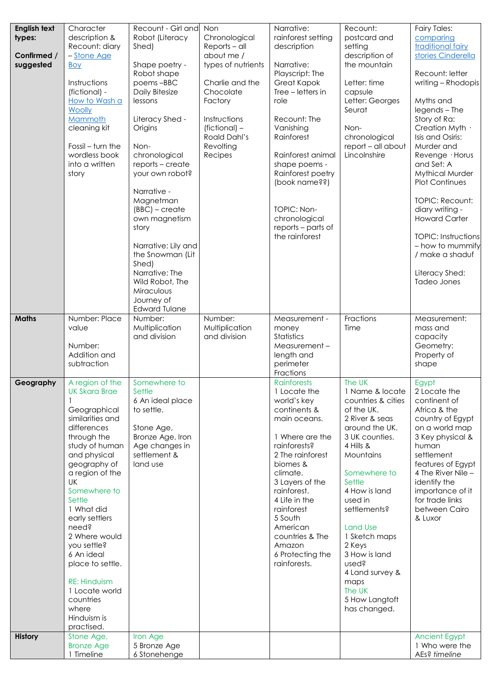| <b>English text</b> | Character                          | Recount - Girl and             | Non                  | Narrative:                          | Recount:                           | <b>Fairy Tales:</b>                    |
|---------------------|------------------------------------|--------------------------------|----------------------|-------------------------------------|------------------------------------|----------------------------------------|
| types:              | description &                      | Robot (Literacy                | Chronological        | rainforest setting                  | postcard and                       | comparing                              |
|                     | Recount: diary                     | Shed)                          | Reports - all        | description                         | setting                            | traditional fairy                      |
| Confirmed /         | - Stone Age                        |                                | about me /           |                                     | description of                     | stories Cinderella                     |
| suggested           | Boy                                | Shape poetry -                 | types of nutrients   | Narrative:                          | the mountain                       |                                        |
|                     | Instructions                       | Robot shape<br>poems-BBC       | Charlie and the      | Playscript: The<br>Great Kapok      | Letter: time                       | Recount: letter<br>writing - Rhodopis  |
|                     | (fictional) -                      | Daily Bitesize                 | Chocolate            | Tree – letters in                   | capsule                            |                                        |
|                     | How to Wash a                      | lessons                        | Factory              | role                                | Letter: Georges                    | Myths and                              |
|                     | Woolly                             |                                |                      |                                     | Seurat                             | legends - The                          |
|                     | Mammoth                            | Literacy Shed -                | Instructions         | Recount: The                        |                                    | Story of Ra:                           |
|                     | cleaning kit                       | Origins                        | (fictional) -        | Vanishing                           | Non-                               | Creation Myth ·                        |
|                     |                                    |                                | Roald Dahl's         | Rainforest                          | chronological                      | Isis and Osiris:                       |
|                     | Fossil - turn the<br>wordless book | Non-<br>chronological          | Revolting<br>Recipes | Rainforest animal                   | report - all about<br>Lincolnshire | Murder and<br>Revenge · Horus          |
|                     | into a written                     | reports - create               |                      | shape poems -                       |                                    | and Set: A                             |
|                     | story                              | your own robot?                |                      | Rainforest poetry                   |                                    | <b>Mythical Murder</b>                 |
|                     |                                    |                                |                      | (book name??)                       |                                    | <b>Plot Continues</b>                  |
|                     |                                    | Narrative -                    |                      |                                     |                                    |                                        |
|                     |                                    | Magnetman                      |                      |                                     |                                    | <b>TOPIC: Recount:</b>                 |
|                     |                                    | $(BBC)$ – create               |                      | TOPIC: Non-                         |                                    | diary writing -                        |
|                     |                                    | own magnetism                  |                      | chronological<br>reports - parts of |                                    | <b>Howard Carter</b>                   |
|                     |                                    | story                          |                      | the rainforest                      |                                    | <b>TOPIC: Instructions</b>             |
|                     |                                    | Narrative: Lily and            |                      |                                     |                                    | - how to mummify                       |
|                     |                                    | the Snowman (Lit               |                      |                                     |                                    | / make a shaduf                        |
|                     |                                    | Shed)                          |                      |                                     |                                    |                                        |
|                     |                                    | Narrative: The                 |                      |                                     |                                    | Literacy Shed:                         |
|                     |                                    | Wild Robot, The                |                      |                                     |                                    | Tadeo Jones                            |
|                     |                                    | Miraculous<br>Journey of       |                      |                                     |                                    |                                        |
|                     |                                    | <b>Edward Tulane</b>           |                      |                                     |                                    |                                        |
| <b>Maths</b>        | Number: Place                      | Number:                        | Number:              | Measurement -                       | Fractions                          | Measurement:                           |
|                     | value                              | Multiplication                 | Multiplication       | money                               | Time                               | mass and                               |
|                     |                                    | and division                   | and division         | Statistics                          |                                    | capacity                               |
|                     | Number:                            |                                |                      | Measurement-                        |                                    | Geometry:                              |
|                     | Addition and<br>subtraction        |                                |                      | length and<br>perimeter             |                                    | Property of<br>shape                   |
|                     |                                    |                                |                      | Fractions                           |                                    |                                        |
| Geography           | A region of the                    | Somewhere to                   |                      | <b>Rainforests</b>                  | The UK                             | Egypt                                  |
|                     | <b>UK Skara Brae</b>               | Settle                         |                      | 1 Locate the                        | 1 Name & locate                    | 2 Locate the                           |
|                     |                                    | 6 An ideal place               |                      | world's key                         | countries & cities                 | continent of                           |
|                     | Geographical                       | to settle.                     |                      | continents &                        | of the UK.                         | Africa & the                           |
|                     | similarities and<br>differences    |                                |                      | main oceans.                        | 2 River & seas<br>around the UK.   | country of Egypt<br>on a world map     |
|                     | through the                        | Stone Age,<br>Bronze Age, Iron |                      | 1 Where are the                     | 3 UK counties.                     | 3 Key physical &                       |
|                     | study of human                     | Age changes in                 |                      | rainforests?                        | 4 Hills &                          | human                                  |
|                     | and physical                       | settlement &                   |                      | 2 The rainforest                    | Mountains                          | settlement                             |
|                     | geography of                       | land use                       |                      | biomes &                            |                                    | features of Egypt                      |
|                     | a region of the                    |                                |                      | climate.                            | Somewhere to                       | 4 The River Nile -                     |
|                     | UK                                 |                                |                      | 3 Layers of the                     | Settle                             | identify the                           |
|                     | Somewhere to                       |                                |                      | rainforest.                         | 4 How is land                      | importance of it                       |
|                     | Settle<br>1 What did               |                                |                      | 4 Life in the<br>rainforest         | used in<br>settlements?            | for trade links<br>between Cairo       |
|                     | early settlers                     |                                |                      | 5 South                             |                                    | & Luxor                                |
|                     | need?                              |                                |                      | American                            | <b>Land Use</b>                    |                                        |
|                     | 2 Where would                      |                                |                      | countries & The                     | 1 Sketch maps                      |                                        |
|                     | you settle?                        |                                |                      | Amazon                              | 2 Keys                             |                                        |
|                     | 6 An ideal                         |                                |                      | 6 Protecting the                    | 3 How is land                      |                                        |
|                     | place to settle.                   |                                |                      | rainforests.                        | used?                              |                                        |
|                     | <b>RE: Hinduism</b>                |                                |                      |                                     | 4 Land survey &                    |                                        |
|                     | 1 Locate world                     |                                |                      |                                     | maps<br>The UK                     |                                        |
|                     | countries                          |                                |                      |                                     | 5 How Langtoft                     |                                        |
|                     | where                              |                                |                      |                                     | has changed.                       |                                        |
|                     | Hinduism is                        |                                |                      |                                     |                                    |                                        |
|                     | practised.                         |                                |                      |                                     |                                    |                                        |
| <b>History</b>      | Stone Age,                         | Iron Age<br>5 Bronze Age       |                      |                                     |                                    | <b>Ancient Egypt</b><br>1 Who were the |
|                     | <b>Bronze Age</b><br>1 Timeline    | 6 Stonehenge                   |                      |                                     |                                    | AEs? timeline                          |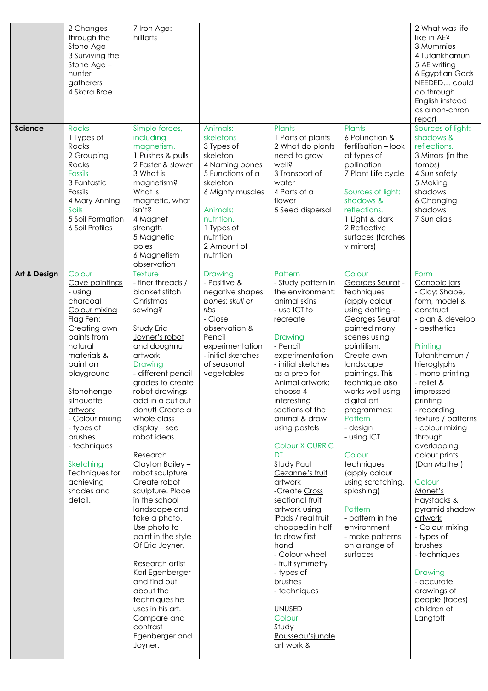|                | 2 Changes<br>through the<br>Stone Age<br>3 Surviving the<br>Stone Age -<br>hunter<br>gatherers<br>4 Skara Brae                                                                                                                                                                                                                           | 7 Iron Age:<br>hillforts                                                                                                                                                                                                                                                                                                                                                                                                                                                                                                                                                                                                                                                      |                                                                                                                                                                                                        |                                                                                                                                                                                                                                                                                                                                                                                                                                                                                                                                                                                                                                    |                                                                                                                                                                                                                                                                                                                                                                                                                                                                                  | 2 What was life<br>like in AE?<br>3 Mummies<br>4 Tutankhamun<br>5 AE writing<br>6 Egyptian Gods<br>NEEDED could<br>do through<br>English instead<br>as a non-chron<br>report                                                                                                                                                                                                                                                                                                                                                                        |
|----------------|------------------------------------------------------------------------------------------------------------------------------------------------------------------------------------------------------------------------------------------------------------------------------------------------------------------------------------------|-------------------------------------------------------------------------------------------------------------------------------------------------------------------------------------------------------------------------------------------------------------------------------------------------------------------------------------------------------------------------------------------------------------------------------------------------------------------------------------------------------------------------------------------------------------------------------------------------------------------------------------------------------------------------------|--------------------------------------------------------------------------------------------------------------------------------------------------------------------------------------------------------|------------------------------------------------------------------------------------------------------------------------------------------------------------------------------------------------------------------------------------------------------------------------------------------------------------------------------------------------------------------------------------------------------------------------------------------------------------------------------------------------------------------------------------------------------------------------------------------------------------------------------------|----------------------------------------------------------------------------------------------------------------------------------------------------------------------------------------------------------------------------------------------------------------------------------------------------------------------------------------------------------------------------------------------------------------------------------------------------------------------------------|-----------------------------------------------------------------------------------------------------------------------------------------------------------------------------------------------------------------------------------------------------------------------------------------------------------------------------------------------------------------------------------------------------------------------------------------------------------------------------------------------------------------------------------------------------|
| <b>Science</b> | <b>Rocks</b><br>1 Types of<br>Rocks<br>2 Grouping<br>Rocks<br><b>Fossils</b><br>3 Fantastic<br>Fossils<br>4 Mary Anning<br>Soils<br>5 Soil Formation<br>6 Soil Profiles                                                                                                                                                                  | Simple forces,<br>including<br>magnetism.<br>1 Pushes & pulls<br>2 Faster & slower<br>3 What is<br>magnetism?<br>What is<br>magnetic, what<br>isn't?<br>4 Magnet<br>strength<br>5 Magnetic<br>poles<br>6 Magnetism<br>observation                                                                                                                                                                                                                                                                                                                                                                                                                                             | Animals:<br>skeletons<br>3 Types of<br>skeleton<br>4 Naming bones<br>5 Functions of a<br>skeleton<br>6 Mighty muscles<br>Animals:<br>nutrition.<br>1 Types of<br>nutrition<br>2 Amount of<br>nutrition | Plants<br>1 Parts of plants<br>2 What do plants<br>need to grow<br>well?<br>3 Transport of<br>water<br>4 Parts of a<br>flower<br>5 Seed dispersal                                                                                                                                                                                                                                                                                                                                                                                                                                                                                  | Plants<br>6 Pollination &<br>fertilisation - look<br>at types of<br>pollination<br>7 Plant Life cycle<br>Sources of light:<br>shadows &<br>reflections.<br>1 Light & dark<br>2 Reflective<br>surfaces (torches<br>v mirrors)                                                                                                                                                                                                                                                     | Sources of light:<br>shadows &<br>reflections.<br>3 Mirrors (in the<br>tombs)<br>4 Sun safety<br>5 Making<br>shadows<br>6 Changing<br>shadows<br>7 Sun dials                                                                                                                                                                                                                                                                                                                                                                                        |
| Art & Design   | Colour<br>Cave paintings<br>- using<br>charcoal<br>Colour mixing<br>Flag Fen:<br>Creating own<br>paints from<br>natural<br>materials &<br>paint on<br>playground<br>Stonehenge<br>silhouette<br>artwork<br>- Colour mixing<br>- types of<br>brushes<br>- techniques<br>Sketching<br>Techniques for<br>achieving<br>shades and<br>detail. | Texture<br>- finer threads /<br>blanket stitch<br>Christmas<br>sewing?<br><b>Study Eric</b><br>Joyner's robot<br>and doughnut<br>artwork<br>Drawing<br>- different pencil<br>grades to create<br>robot drawings -<br>add in a cut out<br>donut! Create a<br>whole class<br>$display - see$<br>robot ideas.<br>Research<br>Clayton Bailey -<br>robot sculpture<br>Create robot<br>sculpture. Place<br>in the school<br>landscape and<br>take a photo.<br>Use photo to<br>paint in the style<br>Of Eric Joyner.<br>Research artist<br>Karl Egenberger<br>and find out<br>about the<br>techniques he<br>uses in his art.<br>Compare and<br>contrast<br>Egenberger and<br>Joyner. | Drawing<br>- Positive &<br>negative shapes:<br>bones: skull or<br>ribs<br>- Close<br>observation &<br>Pencil<br>experimentation<br>- initial sketches<br>of seasonal<br>vegetables                     | Pattern<br>- Study pattern in<br>the environment:<br>animal skins<br>- use ICT to<br>recreate<br>Drawing<br>- Pencil<br>experimentation<br>- initial sketches<br>as a prep for<br>Animal artwork:<br>choose 4<br>interesting<br>sections of the<br>animal & draw<br>using pastels<br>Colour X CURRIC<br>DT<br>Study Paul<br>Cezanne's fruit<br>artwork<br>-Create Cross<br>sectional fruit<br>artwork using<br>iPads / real fruit<br>chopped in half<br>to draw first<br>hand<br>- Colour wheel<br>- fruit symmetry<br>- types of<br>brushes<br>- techniques<br><b>UNUSED</b><br>Colour<br>Study<br>Rousseau'sjungle<br>art work & | Colour<br>Georges Seurat -<br>techniques<br>(apply colour<br>using dotting -<br>Georges Seurat<br>painted many<br>scenes using<br>pointillism.<br>Create own<br>landscape<br>paintings. This<br>technique also<br>works well using<br>digital art<br>programmes:<br>Pattern<br>- design<br>- using ICT<br>Colour<br>techniques<br>(apply colour<br>using scratching,<br>splashing)<br>Pattern<br>- pattern in the<br>environment<br>- make patterns<br>on a range of<br>surfaces | Form<br>Canopic jars<br>- Clay: Shape,<br>form, model &<br>construct<br>- plan & develop<br>- aesthetics<br>Printing<br>Tutankhamun /<br>hieroglyphs<br>- mono printing<br>- relief &<br>impressed<br>printing<br>- recording<br>texture / patterns<br>- colour mixing<br>through<br>overlapping<br>colour prints<br>(Dan Mather)<br>Colour<br>Monet's<br>Haystacks &<br>pyramid shadow<br>artwork<br>- Colour mixing<br>- types of<br>brushes<br>- techniques<br>Drawing<br>- accurate<br>drawings of<br>people (faces)<br>children of<br>Langtoft |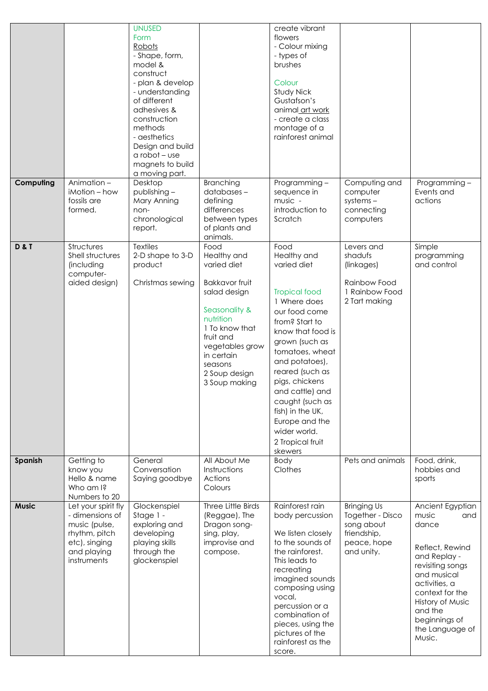|                |                                                                                                                         | <b>UNUSED</b><br>Form<br>Robots<br>- Shape, form,<br>model &<br>construct<br>- plan & develop<br>- understanding<br>of different<br>adhesives &<br>construction<br>methods<br>- aesthetics<br>Design and build<br>$a$ robot – use<br>magnets to build<br>a moving part. |                                                                                                                                                                                                                        | create vibrant<br>flowers<br>- Colour mixing<br>- types of<br>brushes<br>Colour<br>Study Nick<br>Gustafson's<br>animal_art work<br>- create a class<br>montage of a<br>rainforest animal                                                                                                                                                                  |                                                                                                  |                                                                                                                                                                                                                                  |
|----------------|-------------------------------------------------------------------------------------------------------------------------|-------------------------------------------------------------------------------------------------------------------------------------------------------------------------------------------------------------------------------------------------------------------------|------------------------------------------------------------------------------------------------------------------------------------------------------------------------------------------------------------------------|-----------------------------------------------------------------------------------------------------------------------------------------------------------------------------------------------------------------------------------------------------------------------------------------------------------------------------------------------------------|--------------------------------------------------------------------------------------------------|----------------------------------------------------------------------------------------------------------------------------------------------------------------------------------------------------------------------------------|
| Computing      | Animation-<br>iMotion - how<br>fossils are<br>formed.                                                                   | Desktop<br>publishing-<br>Mary Anning<br>non-<br>chronological<br>report.                                                                                                                                                                                               | Branching<br>databases-<br>defining<br>differences<br>between types<br>of plants and<br>animals.                                                                                                                       | Programming-<br>sequence in<br>music -<br>introduction to<br>Scratch                                                                                                                                                                                                                                                                                      | Computing and<br>computer<br>$systems -$<br>connecting<br>computers                              | Programming-<br>Events and<br>actions                                                                                                                                                                                            |
| <b>D&amp;T</b> | Structures<br>Shell structures<br>(including<br>computer-<br>aided design)                                              | <b>Textiles</b><br>2-D shape to 3-D<br>product<br>Christmas sewing                                                                                                                                                                                                      | Food<br>Healthy and<br>varied diet<br><b>Bakkavor fruit</b><br>salad design<br>Seasonality &<br>nutrition<br>1 To know that<br>fruit and<br>vegetables grow<br>in certain<br>seasons<br>2 Soup design<br>3 Soup making | Food<br>Healthy and<br>varied diet<br><b>Tropical food</b><br>1 Where does<br>our food come<br>from? Start to<br>know that food is<br>grown (such as<br>tomatoes, wheat<br>and potatoes),<br>reared (such as<br>pigs, chickens<br>and cattle) and<br>caught (such as<br>fish) in the UK,<br>Europe and the<br>wider world.<br>2 Tropical fruit<br>skewers | Levers and<br>shadufs<br>(linkages)<br>Rainbow Food<br>1 Rainbow Food<br>2 Tart making           | Simple<br>programming<br>and control                                                                                                                                                                                             |
| Spanish        | Getting to<br>know you<br>Hello & name<br>Who am I?<br>Numbers to 20                                                    | General<br>Conversation<br>Saying goodbye                                                                                                                                                                                                                               | All About Me<br>Instructions<br>Actions<br>Colours                                                                                                                                                                     | Body<br>Clothes                                                                                                                                                                                                                                                                                                                                           | Pets and animals                                                                                 | Food, drink,<br>hobbies and<br>sports                                                                                                                                                                                            |
| <b>Music</b>   | Let your spirit fly<br>- dimensions of<br>music (pulse,<br>rhythm, pitch<br>etc), singing<br>and playing<br>instruments | Glockenspiel<br>Stage 1 -<br>exploring and<br>developing<br>playing skills<br>through the<br>glockenspiel                                                                                                                                                               | Three Little Birds<br>(Reggae), The<br>Dragon song-<br>sing, play,<br>improvise and<br>compose.                                                                                                                        | Rainforest rain<br>body percussion<br>We listen closely<br>to the sounds of<br>the rainforest.<br>This leads to<br>recreating<br>imagined sounds<br>composing using<br>vocal,<br>percussion or a<br>combination of<br>pieces, using the<br>pictures of the<br>rainforest as the<br>score.                                                                 | <b>Bringing Us</b><br>Together - Disco<br>song about<br>friendship,<br>peace, hope<br>and unity. | Ancient Egyptian<br>music<br>and<br>dance<br>Reflect, Rewind<br>and Replay -<br>revisiting songs<br>and musical<br>activities, a<br>context for the<br>History of Music<br>and the<br>beginnings of<br>the Language of<br>Music. |